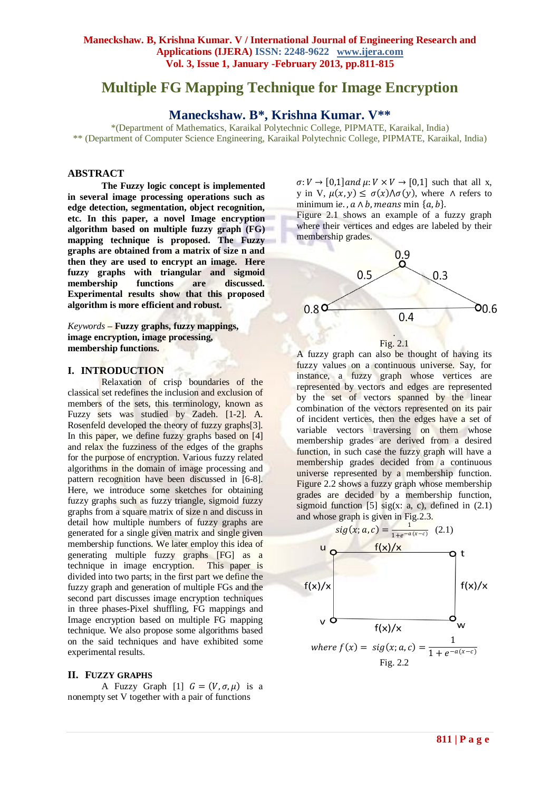# **Multiple FG Mapping Technique for Image Encryption**

**Maneckshaw. B\*, Krishna Kumar. V\*\***

\*(Department of Mathematics, Karaikal Polytechnic College, PIPMATE, Karaikal, India) \*\* (Department of Computer Science Engineering, Karaikal Polytechnic College, PIPMATE, Karaikal, India)

# **ABSTRACT**

**The Fuzzy logic concept is implemented in several image processing operations such as edge detection, segmentation, object recognition, etc. In this paper, a novel Image encryption algorithm based on multiple fuzzy graph (FG) mapping technique is proposed. The Fuzzy graphs are obtained from a matrix of size n and then they are used to encrypt an image. Here fuzzy graphs with triangular and sigmoid membership functions are discussed. Experimental results show that this proposed algorithm is more efficient and robust.**

*Keywords* **– Fuzzy graphs, fuzzy mappings, image encryption, image processing, membership functions.**

## **I. INTRODUCTION**

Relaxation of crisp boundaries of the classical set redefines the inclusion and exclusion of members of the sets, this terminology, known as Fuzzy sets was studied by Zadeh. [1-2]. A. Rosenfeld developed the theory of fuzzy graphs[3]. In this paper, we define fuzzy graphs based on [4] and relax the fuzziness of the edges of the graphs for the purpose of encryption. Various fuzzy related algorithms in the domain of image processing and pattern recognition have been discussed in [6-8]. Here, we introduce some sketches for obtaining fuzzy graphs such as fuzzy triangle, sigmoid fuzzy graphs from a square matrix of size n and discuss in detail how multiple numbers of fuzzy graphs are generated for a single given matrix and single given membership functions. We later employ this idea of generating multiple fuzzy graphs [FG] as a technique in image encryption. This paper is divided into two parts; in the first part we define the fuzzy graph and generation of multiple FGs and the second part discusses image encryption techniques in three phases-Pixel shuffling, FG mappings and Image encryption based on multiple FG mapping technique. We also propose some algorithms based on the said techniques and have exhibited some experimental results.

#### **II. FUZZY GRAPHS**

A Fuzzy Graph [1]  $G = (V, \sigma, \mu)$  is a nonempty set V together with a pair of functions

 $\sigma: V \to [0,1]$  and  $\mu: V \times V \to [0,1]$  such that all x, y in V,  $\mu(x, y) \leq \sigma(x) \Lambda \sigma(y)$ , where  $\Lambda$  refers to minimum ie.,  $a \wedge b$ , means min  $\{a, b\}$ .

Figure 2.1 shows an example of a fuzzy graph where their vertices and edges are labeled by their membership grades.





A fuzzy graph can also be thought of having its fuzzy values on a continuous universe. Say, for instance, a fuzzy graph whose vertices are represented by vectors and edges are represented by the set of vectors spanned by the linear combination of the vectors represented on its pair of incident vertices, then the edges have a set of variable vectors traversing on them whose membership grades are derived from a desired function, in such case the fuzzy graph will have a membership grades decided from a continuous universe represented by a membership function. Figure 2.2 shows a fuzzy graph whose membership grades are decided by a membership function, sigmoid function [5] sig(x: a, c), defined in  $(2.1)$ and whose graph is given in Fig.2.3.

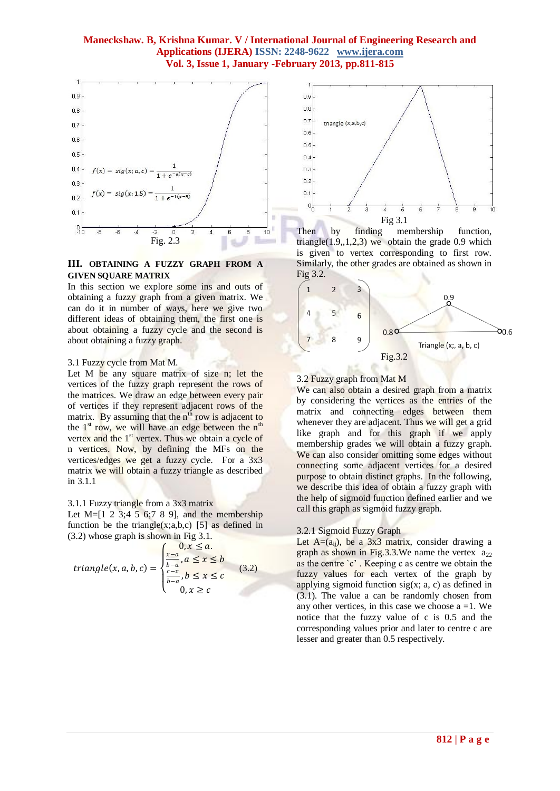

## **III. OBTAINING A FUZZY GRAPH FROM A GIVEN SQUARE MATRIX**

In this section we explore some ins and outs of obtaining a fuzzy graph from a given matrix. We can do it in number of ways, here we give two different ideas of obtaining them, the first one is about obtaining a fuzzy cycle and the second is about obtaining a fuzzy graph.

#### 3.1 Fuzzy cycle from Mat M.

Let M be any square matrix of size n; let the vertices of the fuzzy graph represent the rows of the matrices. We draw an edge between every pair of vertices if they represent adjacent rows of the matrix. By assuming that the  $n^{th}$  row is adjacent to the  $1<sup>st</sup>$  row, we will have an edge between the  $n<sup>th</sup>$ vertex and the 1<sup>st</sup> vertex. Thus we obtain a cycle of n vertices. Now, by defining the MFs on the vertices/edges we get a fuzzy cycle. For a 3x3 matrix we will obtain a fuzzy triangle as described in 3.1.1

#### 3.1.1 Fuzzy triangle from a 3x3 matrix

Let  $M=[1 \ 2 \ 3;4 \ 5 \ 6;7 \ 8 \ 9]$ , and the membership function be the triangle(x;a,b,c) [5] as defined in (3.2) whose graph is shown in Fig 3.1.

triangle
$$
triangle(x, a, b, c) = \begin{cases} 0, x \le a, \\ \frac{x-a}{b-a}, a \le x \le b \\ \frac{c-x}{b-a}, b \le x \le c \\ 0, x \ge c \end{cases}
$$
(3.2)



Then by finding membership function, triangle $(1.9, 1, 2, 3)$  we obtain the grade 0.9 which is given to vertex corresponding to first row. Similarly, the other grades are obtained as shown in Fig 3.2.



#### 3.2 Fuzzy graph from Mat M

We can also obtain a desired graph from a matrix by considering the vertices as the entries of the matrix and connecting edges between them whenever they are adjacent. Thus we will get a grid like graph and for this graph if we apply membership grades we will obtain a fuzzy graph. We can also consider omitting some edges without connecting some adjacent vertices for a desired purpose to obtain distinct graphs. In the following, we describe this idea of obtain a fuzzy graph with the help of sigmoid function defined earlier and we call this graph as sigmoid fuzzy graph.

## 3.2.1 Sigmoid Fuzzy Graph

Let  $A=(a_{ii})$ , be a 3x3 matrix, consider drawing a graph as shown in Fig.3.3.We name the vertex  $a_{22}$ as the centre `c' . Keeping c as centre we obtain the fuzzy values for each vertex of the graph by applying sigmoid function  $sig(x; a, c)$  as defined in (3.1). The value a can be randomly chosen from any other vertices, in this case we choose  $a = 1$ . We notice that the fuzzy value of c is 0.5 and the corresponding values prior and later to centre c are lesser and greater than 0.5 respectively.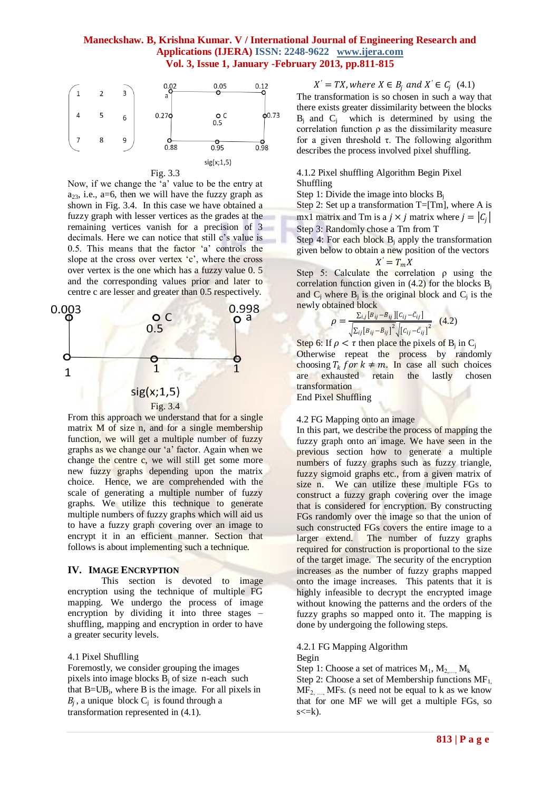

Now, if we change the 'a' value to be the entry at  $a_{23}$ , i.e., a=6, then we will have the fuzzy graph as shown in Fig. 3.4. In this case we have obtained a fuzzy graph with lesser vertices as the grades at the remaining vertices vanish for a precision of 3 decimals. Here we can notice that still c's value is 0.5. This means that the factor 'a' controls the slope at the cross over vertex 'c', where the cross over vertex is the one which has a fuzzy value 0. 5 and the corresponding values prior and later to centre c are lesser and greater than 0.5 respectively.



From this approach we understand that for a single matrix M of size n, and for a single membership function, we will get a multiple number of fuzzy graphs as we change our 'a' factor. Again when we change the centre c, we will still get some more new fuzzy graphs depending upon the matrix choice. Hence, we are comprehended with the scale of generating a multiple number of fuzzy graphs. We utilize this technique to generate multiple numbers of fuzzy graphs which will aid us to have a fuzzy graph covering over an image to encrypt it in an efficient manner. Section that follows is about implementing such a technique.

#### **IV. IMAGE ENCRYPTION**

This section is devoted to image encryption using the technique of multiple FG mapping. We undergo the process of image encryption by dividing it into three stages – shuffling, mapping and encryption in order to have a greater security levels.

#### 4.1 Pixel Shuflling

Foremostly, we consider grouping the images pixels into image blocks  $B_i$  of size n-each such that  $B=UB_j$ , where B is the image. For all pixels in  $B_j$ , a unique block  $C_j$  is found through a transformation represented in (4.1).

 $X' = TX$ , where  $X \in B_j$  and  $X' \in C_j$  (4.1) The transformation is so chosen in such a way that there exists greater dissimilarity between the blocks  $B_j$  and  $C_j$  which is determined by using the correlation function  $\rho$  as the dissimilarity measure for a given threshold τ. The following algorithm describes the process involved pixel shuffling.

4.1.2 Pixel shuffling Algorithm Begin Pixel Shuffling

Step 1: Divide the image into blocks  $B_i$ 

Step 2: Set up a transformation  $T=[Tm]$ , where A is mx1 matrix and Tm is a  $j \times j$  matrix where  $j = |C_j|$ Step 3: Randomly chose a Tm from T

Step 4: For each block  $B_i$  apply the transformation given below to obtain a new position of the vectors

$$
X'=T_mX
$$

Step 5: Calculate the correlation  $\rho$  using the correlation function given in  $(4.2)$  for the blocks  $B_i$ and  $C_j$  where  $B_j$  is the original block and  $C_j$  is the newly obtained block

$$
\rho = \frac{\Sigma_{i,j}[B_{ij} - B_{ij}][c_{ij} - c_{ij}]}{\sqrt{\Sigma_{i,j}[B_{ij} - B_{ij}]^2} \sqrt{[c_{ij} - c_{ij}]^2}}
$$
(4.2)

Step 6: If  $\rho < \tau$  then place the pixels of B<sub>j</sub> in C<sub>j</sub> Otherwise repeat the process by randomly choosing  $T_k$  for  $k \neq m$ . In case all such choices<br>are exhausted retain the lastly chosen are exhausted retain transformation

End Pixel Shuffling

## 4.2 FG Mapping onto an image

In this part, we describe the process of mapping the fuzzy graph onto an image. We have seen in the previous section how to generate a multiple numbers of fuzzy graphs such as fuzzy triangle, fuzzy sigmoid graphs etc., from a given matrix of size n. We can utilize these multiple FGs to construct a fuzzy graph covering over the image that is considered for encryption. By constructing FGs randomly over the image so that the union of such constructed FGs covers the entire image to a larger extend. The number of fuzzy graphs required for construction is proportional to the size of the target image. The security of the encryption increases as the number of fuzzy graphs mapped onto the image increases. This patents that it is highly infeasible to decrypt the encrypted image without knowing the patterns and the orders of the fuzzy graphs so mapped onto it. The mapping is done by undergoing the following steps.

4.2.1 FG Mapping Algorithm

Begin

Step 1: Choose a set of matrices  $M_1, M_2, ..., M_k$ 

Step 2: Choose a set of Membership functions  $MF<sub>1</sub>$ ,  $MF<sub>2</sub>$  MFs. (s need not be equal to k as we know that for one MF we will get a multiple FGs, so  $s \leq k$ ).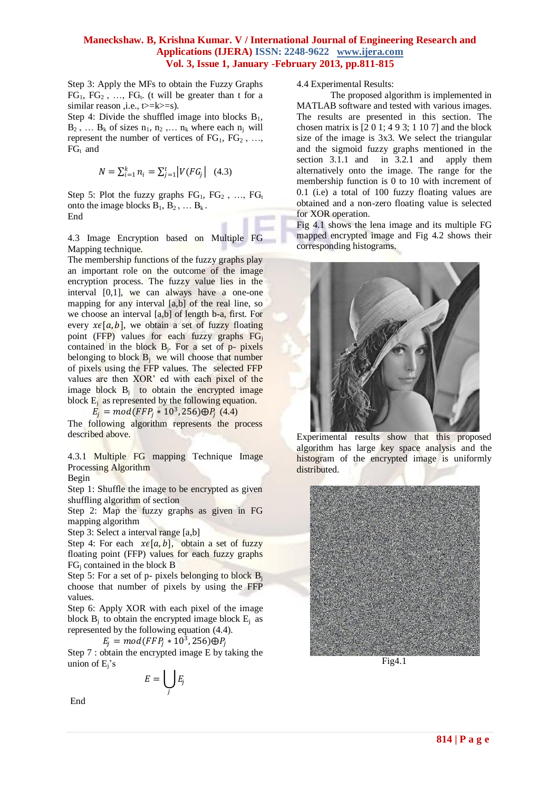Step 3: Apply the MFs to obtain the Fuzzy Graphs  $FG_1$ ,  $FG_2$ , ...,  $FG_t$ . (t will be greater than t for a similar reason ,i.e., t>=k>=s).

Step 4: Divide the shuffled image into blocks  $B_1$ ,  $B_2$ , ...  $B_k$  of sizes  $n_1, n_2, \ldots, n_k$  where each  $n_i$  will represent the number of vertices of  $FG_1, FG_2, ...,$  $FG_t$  and

$$
N = \sum_{i=1}^{k} n_i = \sum_{j=1}^{t} |V(FG_j| \quad (4.3)
$$

Step 5: Plot the fuzzy graphs  $FG_1$ ,  $FG_2$ , ...,  $FG_t$ onto the image blocks  $B_1, B_2, \ldots B_k$ . End

4.3 Image Encryption based on Multiple FG Mapping technique.

The membership functions of the fuzzy graphs play an important role on the outcome of the image encryption process. The fuzzy value lies in the interval [0,1], we can always have a one-one mapping for any interval [a,b] of the real line, so we choose an interval [a,b] of length b-a, first. For every  $x \in [a, b]$ , we obtain a set of fuzzy floating point (FFP) values for each fuzzy graphs  $FG_i$ contained in the block  $B_j$ . For a set of p- pixels belonging to block  $B_i$  we will choose that number of pixels using the FFP values. The selected FFP values are then XOR' ed with each pixel of the image block  $B_i$  to obtain the encrypted image block  $E_i$  as represented by the following equation.

 $E_j = mod(FFP_j * 10^3, 256) \oplus P_j$  (4.4)

The following algorithm represents the process described above.

4.3.1 Multiple FG mapping Technique Image Processing Algorithm

Begin

Step 1: Shuffle the image to be encrypted as given shuffling algorithm of section

Step 2: Map the fuzzy graphs as given in FG mapping algorithm

Step 3: Select a interval range [a,b]

Step 4: For each  $x \in [a, b]$ , obtain a set of fuzzy floating point (FFP) values for each fuzzy graphs  $FG<sub>i</sub>$  contained in the block B

Step 5: For a set of p- pixels belonging to block  $B_i$ choose that number of pixels by using the FFP values.

Step 6: Apply XOR with each pixel of the image block  $B_i$  to obtain the encrypted image block  $E_i$  as represented by the following equation (4.4).

 $E_j = mod(FFP_j * 10^3, 256) \oplus P_j$ 

Step 7 : obtain the encrypted image E by taking the union of  $E_i$ 's

$$
E=\bigcup_j E_j
$$

4.4 Experimental Results:

The proposed algorithm is implemented in MATLAB software and tested with various images. The results are presented in this section. The chosen matrix is [2 0 1; 4 9 3; 1 10 7] and the block size of the image is 3x3. We select the triangular and the sigmoid fuzzy graphs mentioned in the section 3.1.1 and in 3.2.1 and apply them alternatively onto the image. The range for the membership function is 0 to 10 with increment of 0.1 (i.e) a total of 100 fuzzy floating values are obtained and a non-zero floating value is selected for XOR operation.

Fig 4.1 shows the lena image and its multiple FG mapped encrypted image and Fig 4.2 shows their corresponding histograms.



Experimental results show that this proposed algorithm has large key space analysis and the histogram of the encrypted image is uniformly distributed.



Fig4.1

End